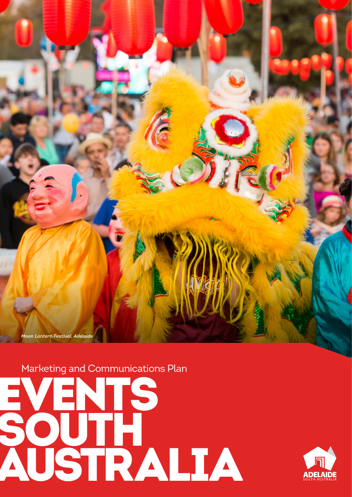

Marketing and Communications Plan



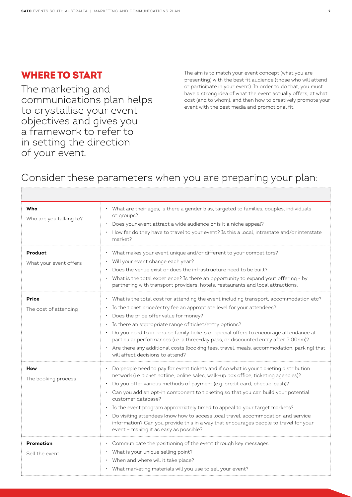## WHERE TO START

The marketing and communications plan helps to crystallise your event objectives and gives you a framework to refer to in setting the direction of your event.

The aim is to match your event concept (what you are presenting) with the best fit audience (those who will attend or participate in your event). In order to do that, you must have a strong idea of what the event actually offers, at what cost (and to whom), and then how to creatively promote your event with the best media and promotional fit.

# Consider these parameters when you are preparing your plan:

| Who<br>Who are you talking to?        | • What are their ages, is there a gender bias, targeted to families, couples, individuals<br>or groups?<br>Does your event attract a wide audience or is it a niche appeal?<br>How far do they have to travel to your event? Is this a local, intrastate and/or interstate<br>market?                                                                                                                                                                                                                                                                                                                                                                                         |
|---------------------------------------|-------------------------------------------------------------------------------------------------------------------------------------------------------------------------------------------------------------------------------------------------------------------------------------------------------------------------------------------------------------------------------------------------------------------------------------------------------------------------------------------------------------------------------------------------------------------------------------------------------------------------------------------------------------------------------|
| Product<br>What your event offers     | What makes your event unique and/or different to your competitors?<br>• Will your event change each year?<br>Does the venue exist or does the infrastructure need to be built?<br>What is the total experience? Is there an opportunity to expand your offering - by<br>partnering with transport providers, hotels, restaurants and local attractions.                                                                                                                                                                                                                                                                                                                       |
| <b>Price</b><br>The cost of attending | What is the total cost for attending the event including transport, accommodation etc?<br>Is the ticket price/entry fee an appropriate level for your attendees?<br>Does the price offer value for money?<br>Is there an appropriate range of ticket/entry options?<br>Do you need to introduce family tickets or special offers to encourage attendance at<br>particular performances (i.e. a three-day pass, or discounted entry after 5:00pm)?<br>• Are there any additional costs (booking fees, travel, meals, accommodation, parking) that<br>will affect decisions to attend?                                                                                          |
| How<br>The booking process            | • Do people need to pay for event tickets and if so what is your ticketing distribution<br>network (i.e. ticket hotline, online sales, walk-up box office, ticketing agencies)?<br>Do you offer various methods of payment (e.g. credit card, cheque, cash)?<br>· Can you add an opt-in component to ticketing so that you can build your potential<br>customer database?<br>Is the event program appropriately timed to appeal to your target markets?<br>Do visiting attendees know how to access local travel, accommodation and service<br>information? Can you provide this in a way that encourages people to travel for your<br>event - making it as easy as possible? |
| Promotion<br>Sell the event           | • Communicate the positioning of the event through key messages.<br>• What is your unique selling point?<br>When and where will it take place?<br>• What marketing materials will you use to sell your event?                                                                                                                                                                                                                                                                                                                                                                                                                                                                 |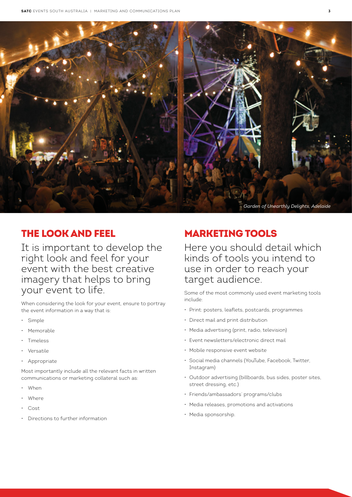

## THE LOOK AND FEEL

It is important to develop the right look and feel for your event with the best creative imagery that helps to bring your event to life.

When considering the look for your event, ensure to portray the event information in a way that is:

- Simple
- **Memorable**
- Timeless
- **Versatile**
- Appropriate

Most importantly include all the relevant facts in written communications or marketing collateral such as:

- When
- Where
- Cost
- Directions to further information

# MARKETING TOOLS

Here you should detail which kinds of tools you intend to use in order to reach your target audience.

Some of the most commonly used event marketing tools include:

- Print: posters, leaflets, postcards, programmes
- Direct mail and print distribution
- Media advertising (print, radio, television)
- Event newsletters/electronic direct mail
- Mobile responsive event website
- Social media channels (YouTube, Facebook, Twitter, Instagram)
- Outdoor advertising (billboards, bus sides, poster sites, street dressing, etc.)
- Friends/ambassadors' programs/clubs
- Media releases, promotions and activations
- Media sponsorship.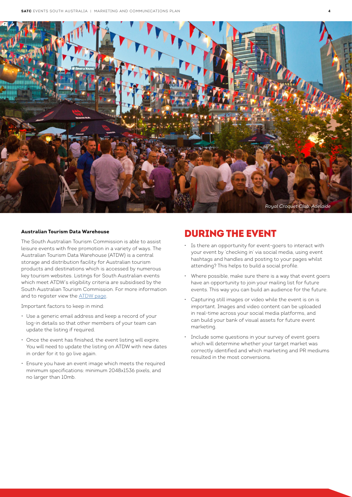

#### **Australian Tourism Data Warehouse**

The South Australian Tourism Commission is able to assist leisure events with free promotion in a variety of ways. The Australian Tourism Data Warehouse (ATDW) is a central storage and distribution facility for Australian tourism products and destinations which is accessed by numerous key tourism websites. Listings for South Australian events which meet ATDW's eligibility criteria are subsidised by the South Australian Tourism Commission. For more information and to register view the [ATDW page.](http://www.tourism.sa.gov.au/industry/atdw-online.aspx)

Important factors to keep in mind:

- Use a generic email address and keep a record of your log-in details so that other members of your team can update the listing if required.
- Once the event has finished, the event listing will expire. You will need to update the listing on ATDW with new dates in order for it to go live again.
- Ensure you have an event image which meets the required minimum specifications: minimum 2048x1536 pixels, and no larger than 10mb.

#### DURING THE EVENT

- Is there an opportunity for event-goers to interact with your event by 'checking in' via social media, using event hashtags and handles and posting to your pages whilst attending? This helps to build a social profile.
- Where possible, make sure there is a way that event goers have an opportunity to join your mailing list for future events. This way you can build an audience for the future.
- Capturing still images or video while the event is on is important. Images and video content can be uploaded in real-time across your social media platforms, and can build your bank of visual assets for future event marketing.
- Include some questions in your survey of event goers which will determine whether your target market was correctly identified and which marketing and PR mediums resulted in the most conversions.